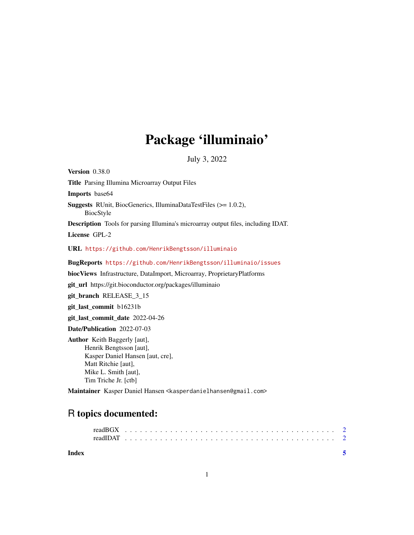## Package 'illuminaio'

July 3, 2022

Version 0.38.0 Title Parsing Illumina Microarray Output Files Imports base64 Suggests RUnit, BiocGenerics, IlluminaDataTestFiles (>= 1.0.2), BiocStyle Description Tools for parsing Illumina's microarray output files, including IDAT. License GPL-2 URL <https://github.com/HenrikBengtsson/illuminaio> BugReports <https://github.com/HenrikBengtsson/illuminaio/issues> biocViews Infrastructure, DataImport, Microarray, ProprietaryPlatforms git\_url https://git.bioconductor.org/packages/illuminaio git\_branch RELEASE\_3\_15 git\_last\_commit b16231b git\_last\_commit\_date 2022-04-26 Date/Publication 2022-07-03 Author Keith Baggerly [aut], Henrik Bengtsson [aut], Kasper Daniel Hansen [aut, cre], Matt Ritchie [aut], Mike L. Smith [aut], Tim Triche Jr. [ctb]

Maintainer Kasper Daniel Hansen <kasperdanielhansen@gmail.com>

### R topics documented:

**Index** [5](#page-4-0). The second state of the second state of the second state of the second state of the second state of the second state of the second state of the second state of the second state of the second state of the second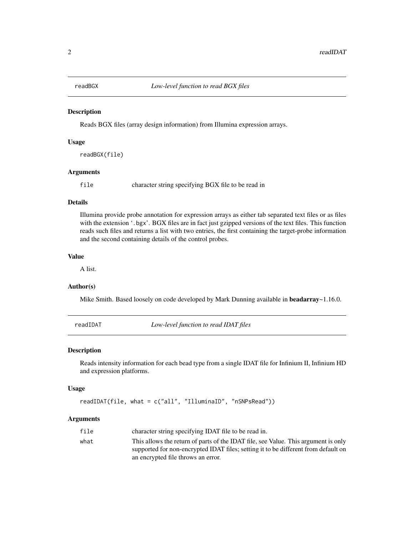<span id="page-1-0"></span>

#### Description

Reads BGX files (array design information) from Illumina expression arrays.

#### Usage

readBGX(file)

#### Arguments

file character string specifying BGX file to be read in

#### Details

Illumina provide probe annotation for expression arrays as either tab separated text files or as files with the extension '.bgx'. BGX files are in fact just gzipped versions of the text files. This function reads such files and returns a list with two entries, the first containing the target-probe information and the second containing details of the control probes.

#### Value

A list.

#### Author(s)

Mike Smith. Based loosely on code developed by Mark Dunning available in **beadarray** $\sim$ 1.16.0.

readIDAT *Low-level function to read IDAT files*

#### Description

Reads intensity information for each bead type from a single IDAT file for Infinium II, Infinium HD and expression platforms.

#### Usage

readIDAT(file, what = c("all", "IlluminaID", "nSNPsRead"))

#### Arguments

| file | character string specifying IDAT file to be read in.                               |
|------|------------------------------------------------------------------------------------|
| what | This allows the return of parts of the IDAT file, see Value. This argument is only |
|      | supported for non-encrypted IDAT files; setting it to be different from default on |
|      | an encrypted file throws an error.                                                 |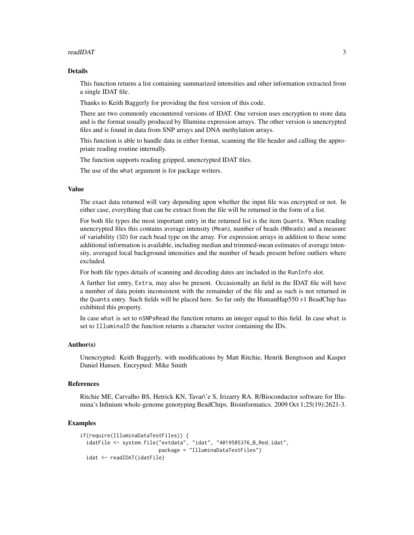#### readIDAT 3

#### Details

This function returns a list containing summarized intensities and other information extracted from a single IDAT file.

Thanks to Keith Baggerly for providing the first version of this code.

There are two commonly encountered versions of IDAT. One version uses encryption to store data and is the format usually produced by Illumina expression arrays. The other version is unencrypted files and is found in data from SNP arrays and DNA methylation arrays.

This function is able to handle data in either format, scanning the file header and calling the appropriate reading routine internally.

The function supports reading gzipped, unencrypted IDAT files.

The use of the what argument is for package writers.

#### Value

The exact data returned will vary depending upon whether the input file was encrypted or not. In either case, everything that can be extract from the file will be returned in the form of a list.

For both file types the most important entry in the returned list is the item Quants. When reading unencrypted files this contains average intensity (Mean), number of beads (NBeads) and a measure of variability (SD) for each bead type on the array. For expression arrays in addition to these some additional information is available, including median and trimmed-mean estimates of average intensity, averaged local background intensities and the number of beads present before outliers where excluded.

For both file types details of scanning and decoding dates are included in the RunInfo slot.

A further list entry, Extra, may also be present. Occasionally an field in the IDAT file will have a number of data points inconsistent with the remainder of the file and as such is not returned in the Quants entry. Such fields will be placed here. So far only the HumanHap550 v1 BeadChip has exhibited this property.

In case what is set to nSNPsRead the function returns an integer equal to this field. In case what is set to IlluminaID the function returns a character vector containing the IDs.

#### Author(s)

Unencrypted: Keith Baggerly, with modifications by Matt Ritchie, Henrik Bengtsson and Kasper Daniel Hansen. Encrypted: Mike Smith

#### References

Ritchie ME, Carvalho BS, Hetrick KN, Tavar\'e S, Irizarry RA. R/Bioconductor software for Illumina's Infinium whole-genome genotyping BeadChips. Bioinformatics. 2009 Oct 1;25(19):2621-3.

#### Examples

```
if(require(IlluminaDataTestFiles)) {
idatFile <- system.file("extdata", "idat", "4019585376_B_Red.idat",
                        package = "IlluminaDataTestFiles")
idat <- readIDAT(idatFile)
```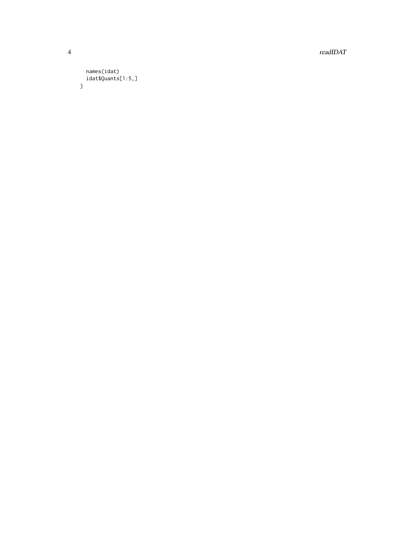$\it readIDAT$ 

#### names(idat)  $idat$ \$Quants[1:5,]  $\}$

 $\overline{4}$